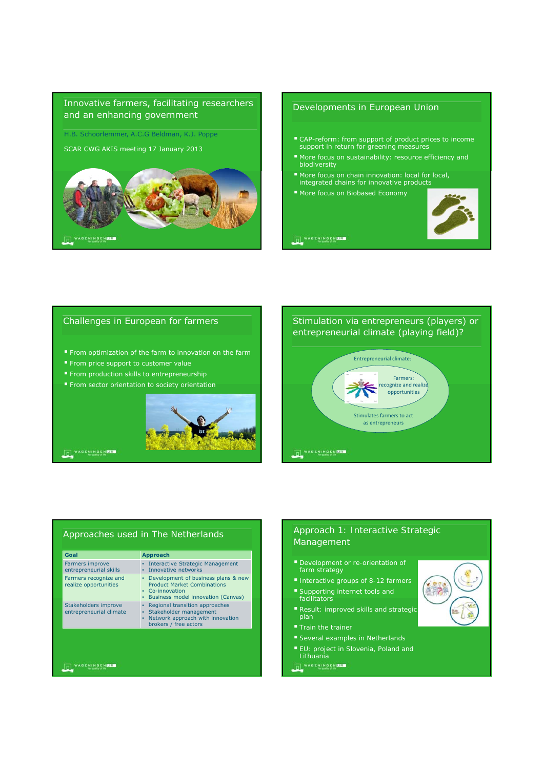

# **OL**WARENINGEN

#### Developments in European Union

- CAP-reform: from support of product prices to income support in return for greening measures
- More focus on sustainability: resource efficiency and biodiversity
- More focus on chain innovation: local for local, integrated chains for innovative products
- **More focus on Biobased Economy**



**THE WASENINGEN US** 

#### Challenges in European for farmers

- **From optimization of the farm to innovation on the farm**
- From price support to customer value
- From production skills to entrepreneurship
- From sector orientation to society orientation



## WAGENINGENER

**OL**WAGENINGENER

## Stimulation via entrepreneurs (players) or entrepreneurial climate (playing field)?



#### Approaches used in The Netherlands

| Farmers improve<br>Interactive Strategic Management<br>entrepreneurial skills<br>Innovative networks<br>Farmers recognize and<br>٠<br><b>Product Market Combinations</b><br>realize opportunities<br>• Co-innovation<br>Business model innovation (Canvas)<br>Stakeholders improve<br>Regional transition approaches<br>Stakeholder management<br>entrepreneurial climate<br>Network approach with innovation<br>٠ | Goal | Approach                            |
|--------------------------------------------------------------------------------------------------------------------------------------------------------------------------------------------------------------------------------------------------------------------------------------------------------------------------------------------------------------------------------------------------------------------|------|-------------------------------------|
|                                                                                                                                                                                                                                                                                                                                                                                                                    |      |                                     |
|                                                                                                                                                                                                                                                                                                                                                                                                                    |      | Development of business plans & new |
|                                                                                                                                                                                                                                                                                                                                                                                                                    |      | brokers / free actors               |

*Approach 1: Interactive Strategic Management*

 $\mathbf{1}$ 

- *farm strategy*
- *Interactive groups of 8-12 farmers Supporting internet tools and*
- *facilitators Result: improved skills and strategic plan*
- 
- *Several examples in Netherlands*
- *EU: project in Slovenia, Poland and Lithuania*

OL<sup>WAGENINGENER</sup>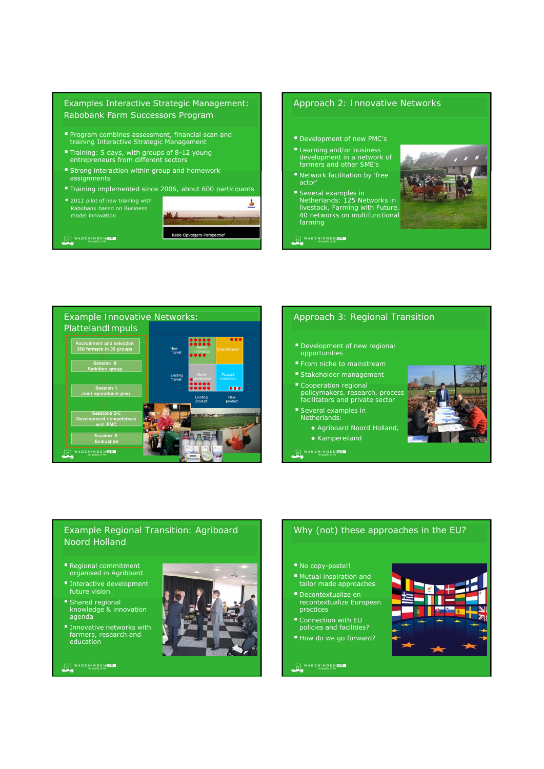### Examples Interactive Strategic Management: Rabobank Farm Successors Program

- Program combines assessment, financial scan and training Interactive Strategic Management
- Training: 5 days, with groups of 8-12 young entrepreneurs from different sectors
- **Strong interaction within group and homework** assignments
- Training implemented since 2006, about 600 participants
- 2012 pilot of new training with Rabobank based on Business



**International** 

#### *Approach 2: Innovative Networks*

- *Development of new PMC's*
- *Learning and/or business development in a network of farmers and other SME's*
- *Network facilitation by 'free actor'*
- *Several examples in Netherlands: 125 Networks in livestock, Farming with Future, 40 networks on multifunctional farming*



**OL**WASENINGENEER



#### *Approach 3: Regional Transition*

- *Development of new regional opportunities*
- 
- *Stakeholder management*
- *Cooperation regional policymakers, research, process facilitators and private sector*
- *Several examples in Netherlands:* 
	- *Agriboard Noord Holland,*
	- *Kampereiland*

OLWAGENINGEN UR



## *Example Regional Transition: Agriboard Noord Holland*

- Regional commitment organised in Agriboard
- Interactive development future vision
- **Shared regional<br>
knowledge & innovation** agenda
- **Innovative networks with** farmers, research and education

**OL**WAGENINGENER



### Why (not) these approaches in the EU?

- No copy-paste!!
- Mutual inspiration and tailor made approaches
- Decontextualize en recontextualize European practices
- Connection with EU policies and facilities?
- How do we go forward?

**OL** WAGENINGEN